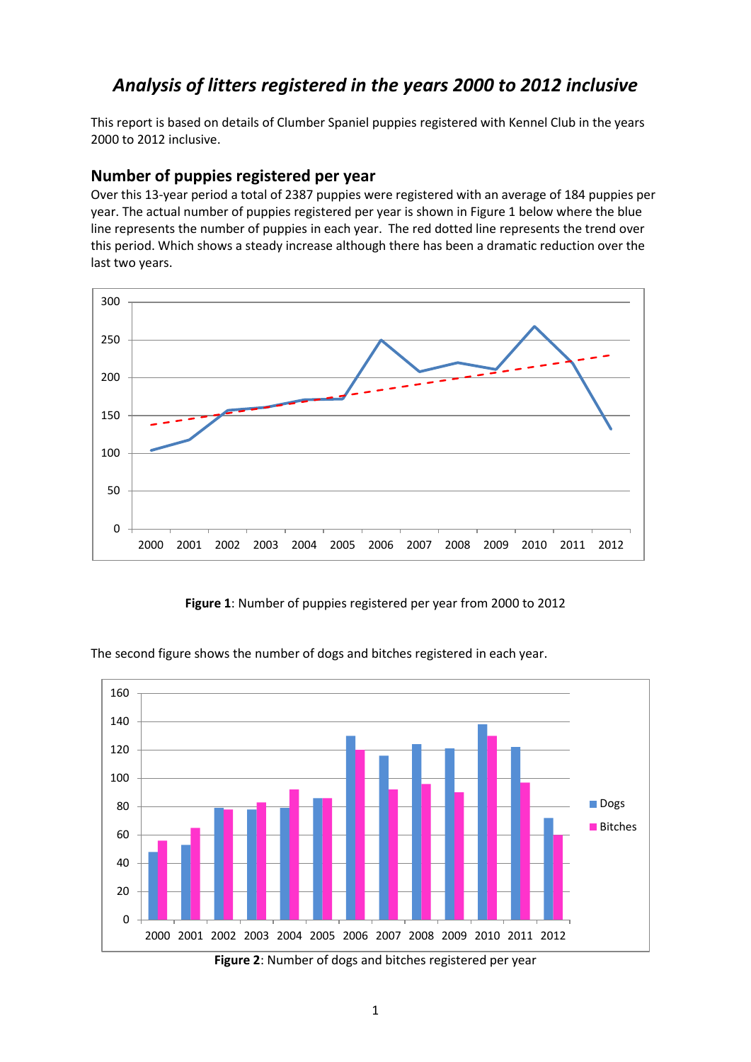# *Analysis of litters registered in the years 2000 to 2012 inclusive*

This report is based on details of Clumber Spaniel puppies registered with Kennel Club in the years 2000 to 2012 inclusive.

#### **Number of puppies registered per year**

Over this 13-year period a total of 2387 puppies were registered with an average of 184 puppies per year. The actual number of puppies registered per year is shown in Figure 1 below where the blue line represents the number of puppies in each year. The red dotted line represents the trend over this period. Which shows a steady increase although there has been a dramatic reduction over the last two years.



**Figure 1**: Number of puppies registered per year from 2000 to 2012



The second figure shows the number of dogs and bitches registered in each year.

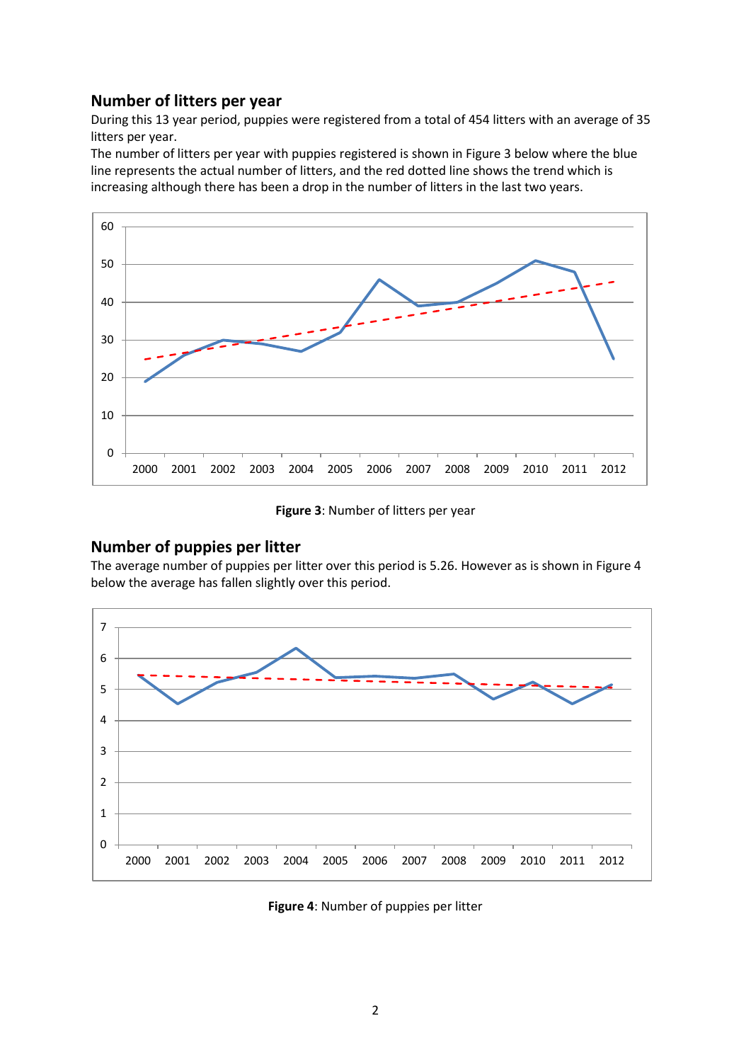## **Number of litters per year**

During this 13 year period, puppies were registered from a total of 454 litters with an average of 35 litters per year.

The number of litters per year with puppies registered is shown in Figure 3 below where the blue line represents the actual number of litters, and the red dotted line shows the trend which is increasing although there has been a drop in the number of litters in the last two years.



**Figure 3**: Number of litters per year

## **Number of puppies per litter**

The average number of puppies per litter over this period is 5.26. However as is shown in Figure 4 below the average has fallen slightly over this period.



**Figure 4**: Number of puppies per litter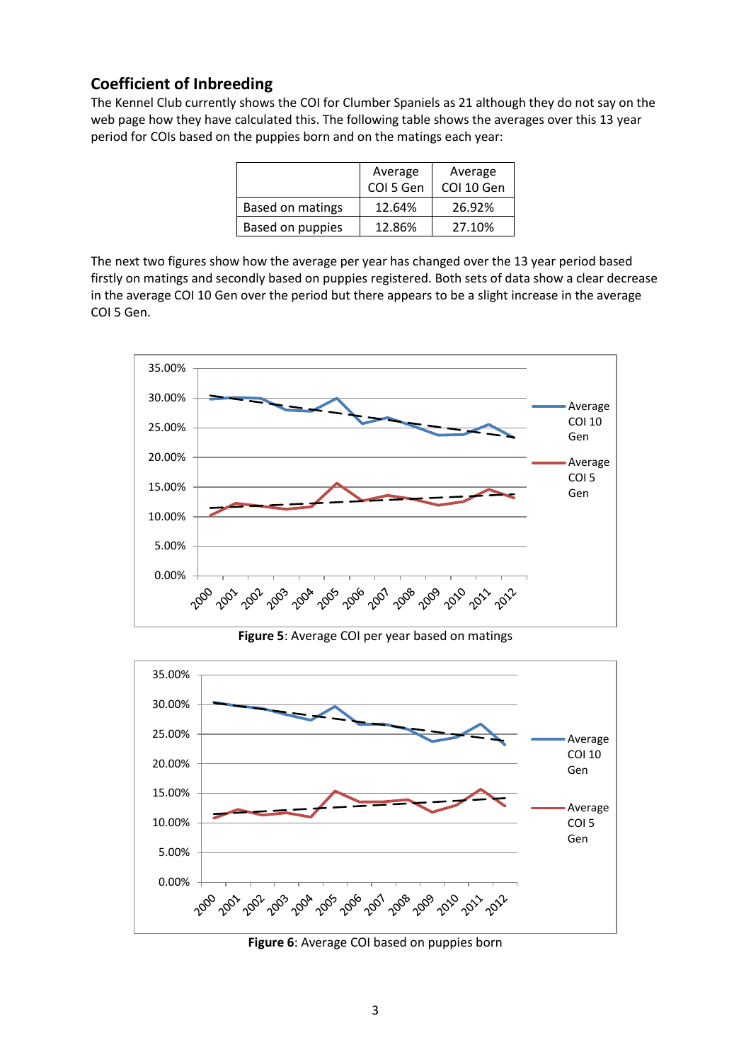# **Coefficient of Inbreeding**

The Kennel Club currently shows the COI for Clumber Spaniels as 21 although they do not say on the web page how they have calculated this. The following table shows the averages over this 13 year period for COIs based on the puppies born and on the matings each year:

|                  | Average<br>COI 5 Gen | Average<br>COI 10 Gen |
|------------------|----------------------|-----------------------|
| Based on matings | 12.64%               | 26.92%                |
| Based on puppies | 12.86%               | 27.10%                |

The next two figures show how the average per year has changed over the 13 year period based firstly on matings and secondly based on puppies registered. Both sets of data show a clear decrease in the average COI 10 Gen over the period but there appears to be a slight increase in the average COI 5 Gen.



**Figure 5**: Average COI per year based on matings



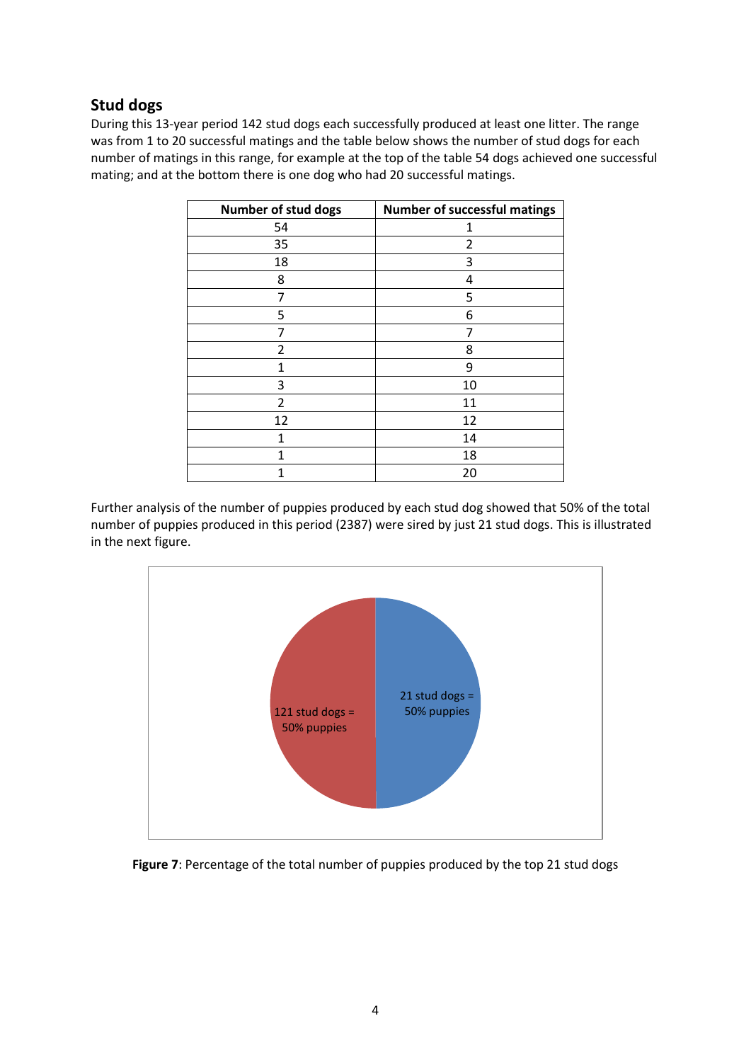## **Stud dogs**

During this 13-year period 142 stud dogs each successfully produced at least one litter. The range was from 1 to 20 successful matings and the table below shows the number of stud dogs for each number of matings in this range, for example at the top of the table 54 dogs achieved one successful mating; and at the bottom there is one dog who had 20 successful matings.

| Number of stud dogs | <b>Number of successful matings</b> |  |  |  |
|---------------------|-------------------------------------|--|--|--|
| 54                  | 1                                   |  |  |  |
| 35                  | 2                                   |  |  |  |
| 18                  | 3                                   |  |  |  |
| 8                   | 4                                   |  |  |  |
| 7                   | 5                                   |  |  |  |
| 5                   | 6                                   |  |  |  |
| 7                   | 7                                   |  |  |  |
| $\overline{2}$      | 8                                   |  |  |  |
| 1                   | 9                                   |  |  |  |
| 3                   | 10                                  |  |  |  |
| 2                   | 11                                  |  |  |  |
| 12                  | 12                                  |  |  |  |
| 1                   | 14                                  |  |  |  |
| 1                   | 18                                  |  |  |  |
| 1                   | 20                                  |  |  |  |

Further analysis of the number of puppies produced by each stud dog showed that 50% of the total number of puppies produced in this period (2387) were sired by just 21 stud dogs. This is illustrated in the next figure.



Figure 7: Percentage of the total number of puppies produced by the top 21 stud dogs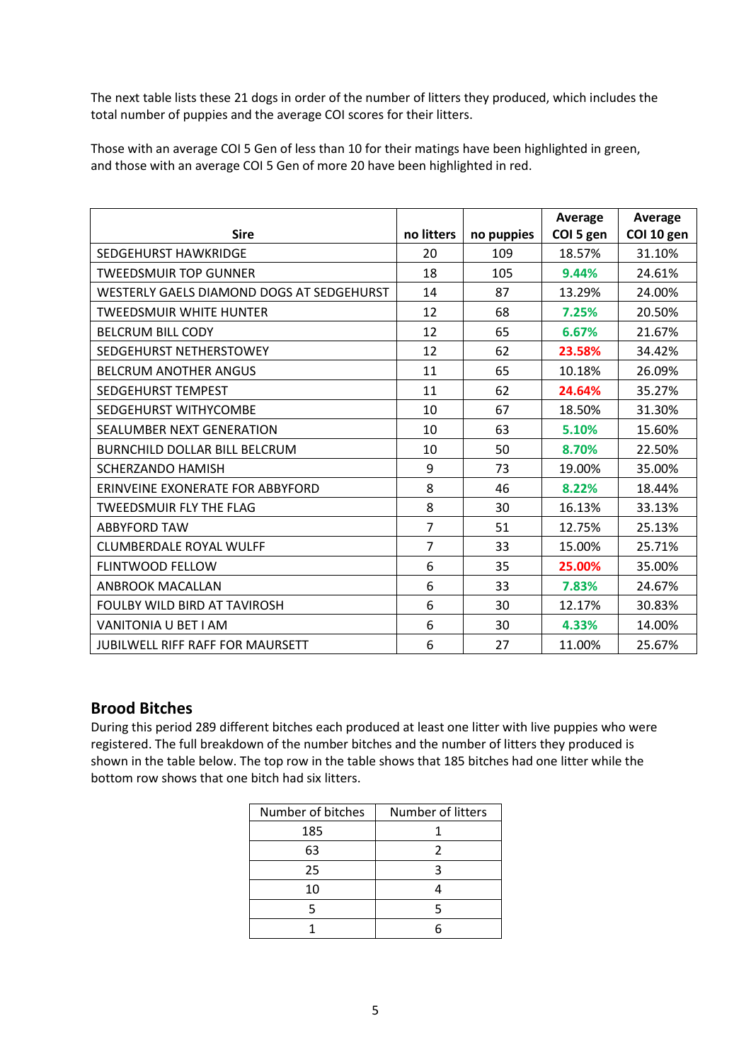The next table lists these 21 dogs in order of the number of litters they produced, which includes the total number of puppies and the average COI scores for their litters.

Those with an average COI 5 Gen of less than 10 for their matings have been highlighted in green, and those with an average COI 5 Gen of more 20 have been highlighted in red.

|                                           |                |            | Average   | Average    |
|-------------------------------------------|----------------|------------|-----------|------------|
| <b>Sire</b>                               | no litters     | no puppies | COI 5 gen | COI 10 gen |
| <b>SEDGEHURST HAWKRIDGE</b>               | 20             | 109        | 18.57%    | 31.10%     |
| <b>TWEEDSMUIR TOP GUNNER</b>              | 18             | 105        | 9.44%     | 24.61%     |
| WESTERLY GAELS DIAMOND DOGS AT SEDGEHURST | 14             | 87         | 13.29%    | 24.00%     |
| <b>TWEEDSMUIR WHITE HUNTER</b>            | 12             | 68         | 7.25%     | 20.50%     |
| <b>BELCRUM BILL CODY</b>                  | 12             | 65         | 6.67%     | 21.67%     |
| SEDGEHURST NETHERSTOWEY                   | 12             | 62         | 23.58%    | 34.42%     |
| <b>BELCRUM ANOTHER ANGUS</b>              | 11             | 65         | 10.18%    | 26.09%     |
| <b>SEDGEHURST TEMPEST</b>                 | 11             | 62         | 24.64%    | 35.27%     |
| <b>SEDGEHURST WITHYCOMBE</b>              | 10             | 67         | 18.50%    | 31.30%     |
| <b>SEALUMBER NEXT GENERATION</b>          | 10             | 63         | 5.10%     | 15.60%     |
| <b>BURNCHILD DOLLAR BILL BELCRUM</b>      | 10             | 50         | 8.70%     | 22.50%     |
| <b>SCHERZANDO HAMISH</b>                  | 9              | 73         | 19.00%    | 35.00%     |
| ERINVEINE EXONERATE FOR ABBYFORD          | 8              | 46         | 8.22%     | 18.44%     |
| <b>TWEEDSMUIR FLY THE FLAG</b>            | 8              | 30         | 16.13%    | 33.13%     |
| <b>ABBYFORD TAW</b>                       | $\overline{7}$ | 51         | 12.75%    | 25.13%     |
| <b>CLUMBERDALE ROYAL WULFF</b>            | 7              | 33         | 15.00%    | 25.71%     |
| <b>FLINTWOOD FELLOW</b>                   | 6              | 35         | 25.00%    | 35.00%     |
| <b>ANBROOK MACALLAN</b>                   | 6              | 33         | 7.83%     | 24.67%     |
| <b>FOULBY WILD BIRD AT TAVIROSH</b>       | 6              | 30         | 12.17%    | 30.83%     |
| <b>VANITONIA U BET I AM</b>               | 6              | 30         | 4.33%     | 14.00%     |
| <b>JUBILWELL RIFF RAFF FOR MAURSETT</b>   | 6              | 27         | 11.00%    | 25.67%     |

### **Brood Bitches**

During this period 289 different bitches each produced at least one litter with live puppies who were registered. The full breakdown of the number bitches and the number of litters they produced is shown in the table below. The top row in the table shows that 185 bitches had one litter while the bottom row shows that one bitch had six litters.

| Number of bitches | Number of litters |  |  |
|-------------------|-------------------|--|--|
| 185               |                   |  |  |
| 63                |                   |  |  |
| 25                |                   |  |  |
| 10                |                   |  |  |
|                   |                   |  |  |
|                   |                   |  |  |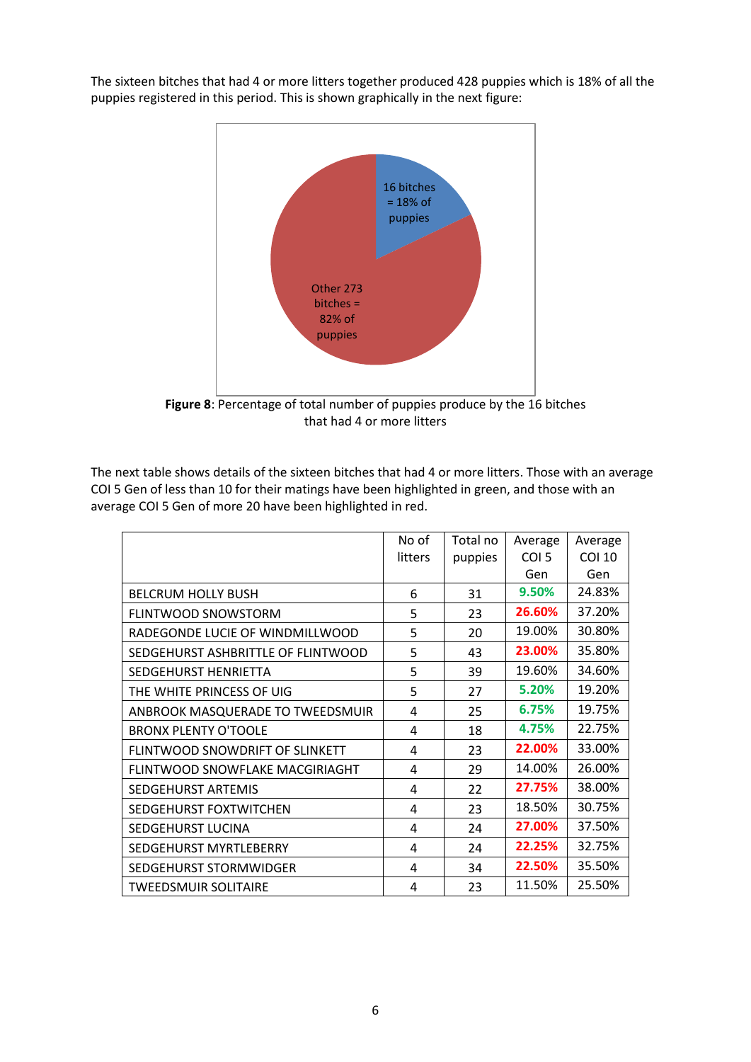The sixteen bitches that had 4 or more litters together produced 428 puppies which is 18% of all the puppies registered in this period. This is shown graphically in the next figure:



**Figure 8**: Percentage of total number of puppies produce by the 16 bitches that had 4 or more litters

The next table shows details of the sixteen bitches that had 4 or more litters. Those with an average COI 5 Gen of less than 10 for their matings have been highlighted in green, and those with an average COI 5 Gen of more 20 have been highlighted in red.

|                                    | No of   | Total no | Average          | Average       |
|------------------------------------|---------|----------|------------------|---------------|
|                                    | litters | puppies  | COI <sub>5</sub> | <b>COI 10</b> |
|                                    |         |          | Gen              | Gen           |
| <b>BELCRUM HOLLY BUSH</b>          | 6       | 31       | 9.50%            | 24.83%        |
| FLINTWOOD SNOWSTORM                | 5       | 23       | 26.60%           | 37.20%        |
| RADEGONDE LUCIE OF WINDMILLWOOD    | 5       | 20       | 19.00%           | 30.80%        |
| SEDGEHURST ASHBRITTLE OF FLINTWOOD | 5       | 43       | 23.00%           | 35.80%        |
| SEDGEHURST HENRIETTA               | 5       | 39       | 19.60%           | 34.60%        |
| THE WHITE PRINCESS OF UIG          | 5       | 27       | 5.20%            | 19.20%        |
| ANBROOK MASQUERADE TO TWEEDSMUIR   | 4       | 25       | 6.75%            | 19.75%        |
| <b>BRONX PLENTY O'TOOLE</b>        | 4       | 18       | 4.75%            | 22.75%        |
| FLINTWOOD SNOWDRIFT OF SLINKETT    | 4       | 23       | 22.00%           | 33.00%        |
| FLINTWOOD SNOWFLAKE MACGIRIAGHT    | 4       | 29       | 14.00%           | 26.00%        |
| <b>SEDGEHURST ARTEMIS</b>          | 4       | 22       | 27.75%           | 38.00%        |
| SEDGEHURST FOXTWITCHEN             | 4       | 23       | 18.50%           | 30.75%        |
| SEDGEHURST LUCINA                  | 4       | 24       | 27.00%           | 37.50%        |
| SEDGEHURST MYRTLEBERRY             | 4       | 24       | 22.25%           | 32.75%        |
| SEDGEHURST STORMWIDGER             | 4       | 34       | 22.50%           | 35.50%        |
| <b>TWEEDSMUIR SOLITAIRE</b>        | 4       | 23       | 11.50%           | 25.50%        |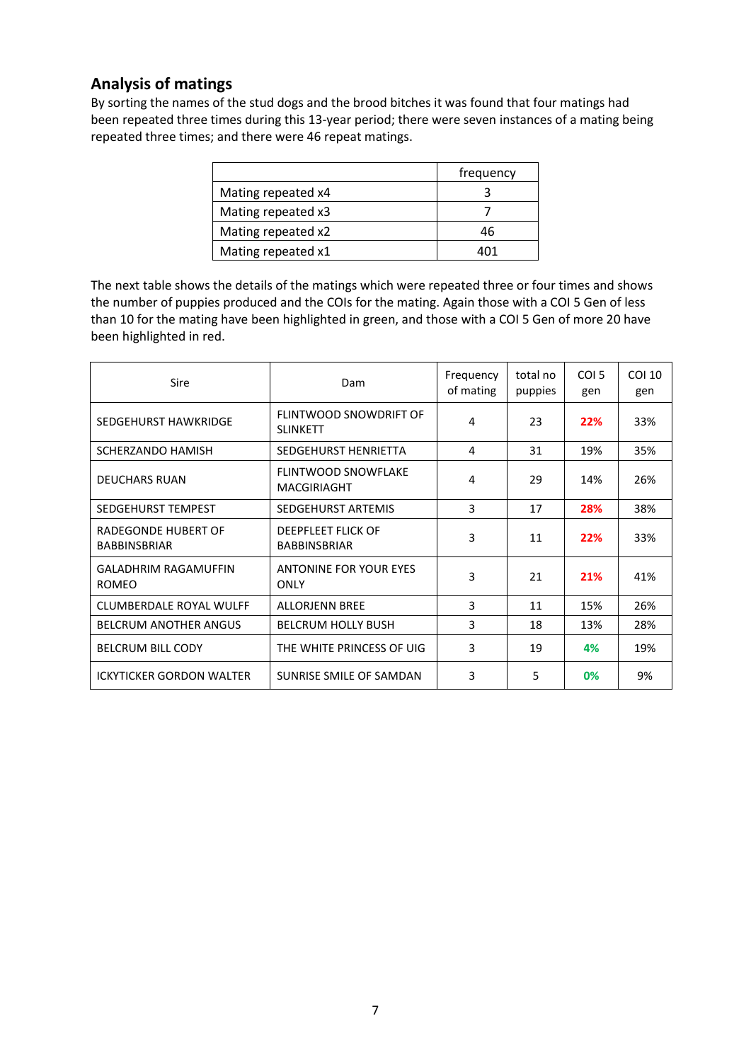# **Analysis of matings**

By sorting the names of the stud dogs and the brood bitches it was found that four matings had been repeated three times during this 13-year period; there were seven instances of a mating being repeated three times; and there were 46 repeat matings.

|                    | frequency |
|--------------------|-----------|
| Mating repeated x4 |           |
| Mating repeated x3 |           |
| Mating repeated x2 | 46        |
| Mating repeated x1 |           |

The next table shows the details of the matings which were repeated three or four times and shows the number of puppies produced and the COIs for the mating. Again those with a COI 5 Gen of less than 10 for the mating have been highlighted in green, and those with a COI 5 Gen of more 20 have been highlighted in red.

| <b>Sire</b>                                       | Dam                                              | Frequency<br>of mating | total no<br>puppies | COI <sub>5</sub><br>gen | COI 10<br>gen |
|---------------------------------------------------|--------------------------------------------------|------------------------|---------------------|-------------------------|---------------|
| SEDGEHURST HAWKRIDGE                              | FLINTWOOD SNOWDRIFT OF<br><b>SLINKETT</b>        | 4                      | 23                  | 22%                     | 33%           |
| <b>SCHERZANDO HAMISH</b>                          | <b>SEDGEHURST HENRIETTA</b>                      | 4                      | 31                  | 19%                     | 35%           |
| <b>DEUCHARS RUAN</b>                              | <b>FLINTWOOD SNOWFLAKE</b><br><b>MACGIRIAGHT</b> | 4                      | 29                  | 14%                     | 26%           |
| SEDGEHURST TEMPEST                                | SEDGEHURST ARTEMIS                               | 3                      | 17                  | 28%                     | 38%           |
| <b>RADEGONDE HUBERT OF</b><br><b>BABBINSBRIAR</b> | <b>DEEPFLEET FLICK OF</b><br><b>BABBINSBRIAR</b> | 3                      | 11                  | 22%                     | 33%           |
| <b>GALADHRIM RAGAMUFFIN</b><br><b>ROMEO</b>       | ANTONINE FOR YOUR EYES<br>ONLY                   | 3                      | 21                  | 21%                     | 41%           |
| CLUMBERDALE ROYAL WULFF                           | <b>ALLORJENN BREE</b>                            | 3                      | 11                  | 15%                     | 26%           |
| <b>BELCRUM ANOTHER ANGUS</b>                      | <b>BELCRUM HOLLY BUSH</b>                        | 3                      | 18                  | 13%                     | 28%           |
| <b>BELCRUM BILL CODY</b>                          | THE WHITE PRINCESS OF UIG                        | 3                      | 19                  | 4%                      | 19%           |
| <b>ICKYTICKER GORDON WALTER</b>                   | SUNRISE SMILE OF SAMDAN                          | 3                      | 5                   | 0%                      | 9%            |